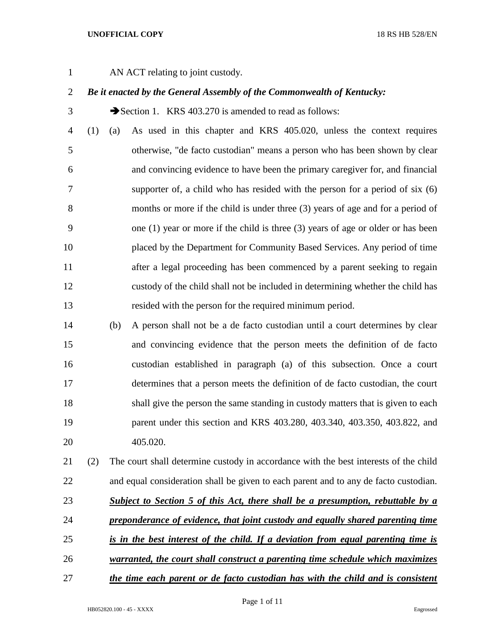1 AN ACT relating to joint custody.

## *Be it enacted by the General Assembly of the Commonwealth of Kentucky:*

3 Section 1. KRS 403.270 is amended to read as follows:

 (1) (a) As used in this chapter and KRS 405.020, unless the context requires otherwise, "de facto custodian" means a person who has been shown by clear and convincing evidence to have been the primary caregiver for, and financial supporter of, a child who has resided with the person for a period of six (6) months or more if the child is under three (3) years of age and for a period of one (1) year or more if the child is three (3) years of age or older or has been placed by the Department for Community Based Services. Any period of time 11 after a legal proceeding has been commenced by a parent seeking to regain custody of the child shall not be included in determining whether the child has resided with the person for the required minimum period.

 (b) A person shall not be a de facto custodian until a court determines by clear and convincing evidence that the person meets the definition of de facto custodian established in paragraph (a) of this subsection. Once a court determines that a person meets the definition of de facto custodian, the court shall give the person the same standing in custody matters that is given to each parent under this section and KRS 403.280, 403.340, 403.350, 403.822, and 405.020.

 (2) The court shall determine custody in accordance with the best interests of the child and equal consideration shall be given to each parent and to any de facto custodian. *Subject to Section 5 of this Act, there shall be a presumption, rebuttable by a preponderance of evidence, that joint custody and equally shared parenting time is in the best interest of the child. If a deviation from equal parenting time is warranted, the court shall construct a parenting time schedule which maximizes* 

*the time each parent or de facto custodian has with the child and is consistent*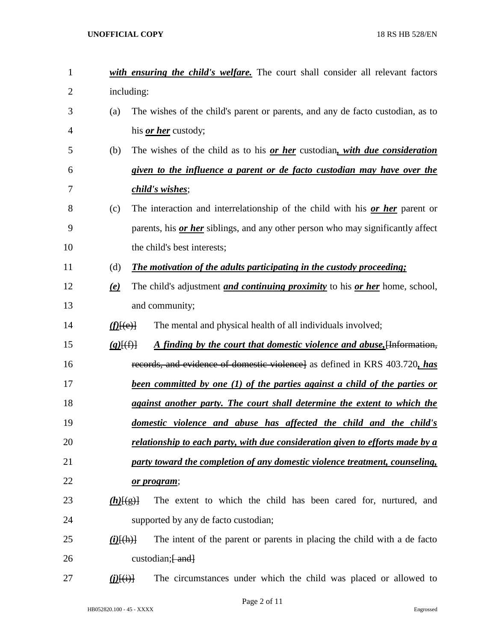| 1              |                               | with ensuring the child's welfare. The court shall consider all relevant factors          |
|----------------|-------------------------------|-------------------------------------------------------------------------------------------|
| $\overline{2}$ |                               | including:                                                                                |
| 3              | (a)                           | The wishes of the child's parent or parents, and any de facto custodian, as to            |
| 4              |                               | his <i>or her</i> custody;                                                                |
| 5              | (b)                           | The wishes of the child as to his <u>or her</u> custodian, with due consideration         |
| 6              |                               | given to the influence a parent or de facto custodian may have over the                   |
| 7              |                               | <i>child's wishes</i> ;                                                                   |
| 8              | (c)                           | The interaction and interrelationship of the child with his or her parent or              |
| 9              |                               | parents, his <i>or her</i> siblings, and any other person who may significantly affect    |
| 10             |                               | the child's best interests;                                                               |
| 11             | (d)                           | The motivation of the adults participating in the custody proceeding;                     |
| 12             | $\left(\mathbf{e}\right)$     | The child's adjustment <i>and continuing proximity</i> to his <i>or her</i> home, school, |
| 13             |                               | and community;                                                                            |
| 14             | $f(E(\theta))$                | The mental and physical health of all individuals involved;                               |
| 15             | $(g)$ $(f)$                   | A finding by the court that domestic violence and abuse, [Information,                    |
| 16             |                               | records, and evidence of domestic violence] as defined in KRS 403.720, has                |
| 17             |                               | <u>been committed by one (1) of the parties against a child of the parties or</u>         |
| 18             |                               | against another party. The court shall determine the extent to which the                  |
| 19             |                               | domestic violence and abuse has affected the child and the child's                        |
| 20             |                               | relationship to each party, with due consideration given to efforts made by a             |
| 21             |                               | party toward the completion of any domestic violence treatment, counseling,               |
| 22             |                               | <u>or program;</u>                                                                        |
| 23             | $(h)$ [(g)]                   | The extent to which the child has been cared for, nurtured, and                           |
| 24             |                               | supported by any de facto custodian;                                                      |
| 25             | $(i)$ [(h)]                   | The intent of the parent or parents in placing the child with a de facto                  |
| 26             |                               | custodian; $\frac{1}{2}$ and $\frac{1}{2}$                                                |
| 27             | $\angle \angle E(\mathbf{i})$ | The circumstances under which the child was placed or allowed to                          |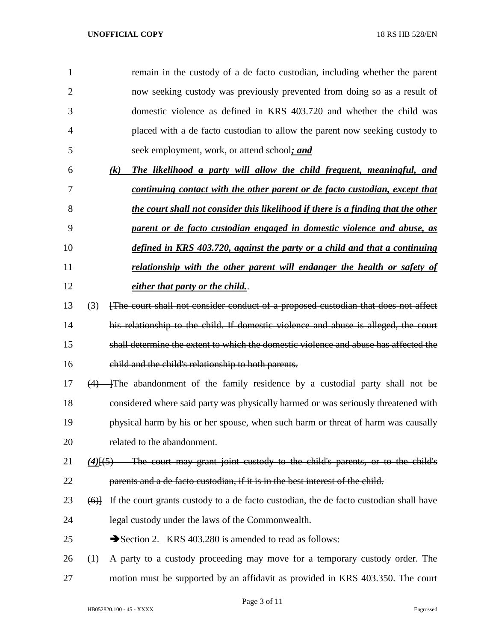| $\mathbf{1}$ | remain in the custody of a de facto custodian, including whether the parent |
|--------------|-----------------------------------------------------------------------------|
| 2            | now seeking custody was previously prevented from doing so as a result of   |
| 3            | domestic violence as defined in KRS 403.720 and whether the child was       |
| 4            | placed with a de facto custodian to allow the parent now seeking custody to |
| 5            | seek employment, work, or attend school; and                                |

| 6   | The likelihood a party will allow the child frequent, meaningful, and<br>(k)      |
|-----|-----------------------------------------------------------------------------------|
| 7   | continuing contact with the other parent or de facto custodian, except that       |
| 8   | the court shall not consider this likelihood if there is a finding that the other |
| - 9 | parent or de facto custodian engaged in domestic violence and abuse, as           |
| 10  | defined in KRS 403.720, against the party or a child and that a continuing        |
| 11  | relationship with the other parent will endanger the health or safety of          |
| 12  | either that party or the child                                                    |

- (3) [The court shall not consider conduct of a proposed custodian that does not affect his relationship to the child. If domestic violence and abuse is alleged, the court shall determine the extent to which the domestic violence and abuse has affected the child and the child's relationship to both parents.
- 17  $(4)$  The abandonment of the family residence by a custodial party shall not be considered where said party was physically harmed or was seriously threatened with physical harm by his or her spouse, when such harm or threat of harm was causally related to the abandonment.
- *(4)*[(5) The court may grant joint custody to the child's parents, or to the child's parents and a de facto custodian, if it is in the best interest of the child.
- 23  $(6)$  If the court grants custody to a de facto custodian, the de facto custodian shall have legal custody under the laws of the Commonwealth.
- 25 Section 2. KRS 403.280 is amended to read as follows:
- (1) A party to a custody proceeding may move for a temporary custody order. The motion must be supported by an affidavit as provided in KRS 403.350. The court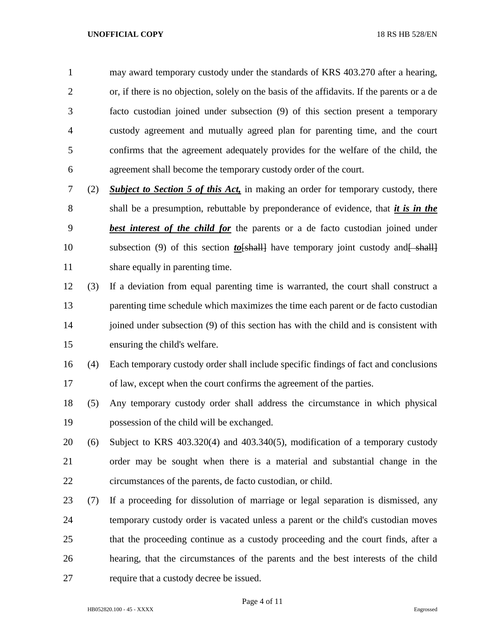may award temporary custody under the standards of KRS 403.270 after a hearing, or, if there is no objection, solely on the basis of the affidavits. If the parents or a de facto custodian joined under subsection (9) of this section present a temporary custody agreement and mutually agreed plan for parenting time, and the court confirms that the agreement adequately provides for the welfare of the child, the agreement shall become the temporary custody order of the court.

- (2) *Subject to Section 5 of this Act,* in making an order for temporary custody, there shall be a presumption, rebuttable by preponderance of evidence, that *it is in the best interest of the child for* the parents or a de facto custodian joined under 10 subsection (9) of this section *to*[shall] have temporary joint custody and [shall] share equally in parenting time.
- (3) If a deviation from equal parenting time is warranted, the court shall construct a parenting time schedule which maximizes the time each parent or de facto custodian 14 joined under subsection (9) of this section has with the child and is consistent with ensuring the child's welfare.
- (4) Each temporary custody order shall include specific findings of fact and conclusions of law, except when the court confirms the agreement of the parties.
- (5) Any temporary custody order shall address the circumstance in which physical possession of the child will be exchanged.
- (6) Subject to KRS 403.320(4) and 403.340(5), modification of a temporary custody order may be sought when there is a material and substantial change in the circumstances of the parents, de facto custodian, or child.
- (7) If a proceeding for dissolution of marriage or legal separation is dismissed, any temporary custody order is vacated unless a parent or the child's custodian moves that the proceeding continue as a custody proceeding and the court finds, after a hearing, that the circumstances of the parents and the best interests of the child require that a custody decree be issued.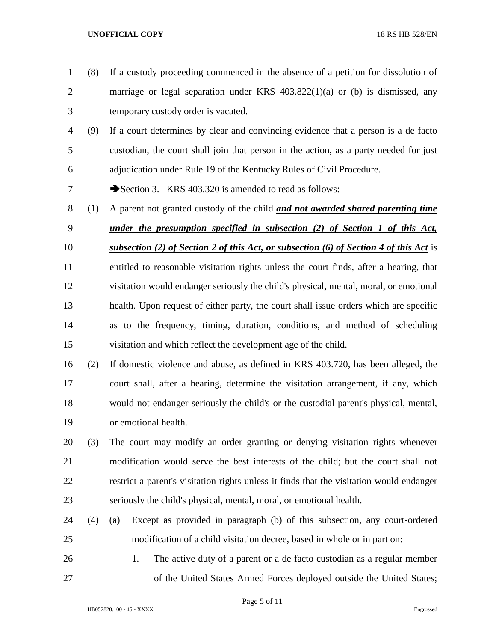temporary custody order is vacated. (9) If a court determines by clear and convincing evidence that a person is a de facto custodian, the court shall join that person in the action, as a party needed for just adjudication under Rule 19 of the Kentucky Rules of Civil Procedure. 7 Section 3. KRS 403.320 is amended to read as follows: (1) A parent not granted custody of the child *and not awarded shared parenting time under the presumption specified in subsection (2) of Section 1 of this Act, subsection (2) of Section 2 of this Act, or subsection (6) of Section 4 of this Act* is entitled to reasonable visitation rights unless the court finds, after a hearing, that visitation would endanger seriously the child's physical, mental, moral, or emotional health. Upon request of either party, the court shall issue orders which are specific as to the frequency, timing, duration, conditions, and method of scheduling visitation and which reflect the development age of the child. (2) If domestic violence and abuse, as defined in KRS 403.720, has been alleged, the court shall, after a hearing, determine the visitation arrangement, if any, which would not endanger seriously the child's or the custodial parent's physical, mental, or emotional health. (3) The court may modify an order granting or denying visitation rights whenever modification would serve the best interests of the child; but the court shall not restrict a parent's visitation rights unless it finds that the visitation would endanger seriously the child's physical, mental, moral, or emotional health. (4) (a) Except as provided in paragraph (b) of this subsection, any court-ordered modification of a child visitation decree, based in whole or in part on: 1. The active duty of a parent or a de facto custodian as a regular member of the United States Armed Forces deployed outside the United States;

(8) If a custody proceeding commenced in the absence of a petition for dissolution of

marriage or legal separation under KRS 403.822(1)(a) or (b) is dismissed, any

Page 5 of 11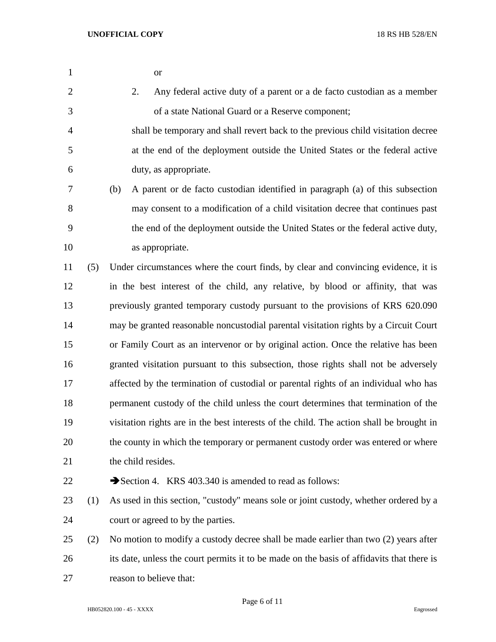- or
- 2. Any federal active duty of a parent or a de facto custodian as a member of a state National Guard or a Reserve component;
- shall be temporary and shall revert back to the previous child visitation decree at the end of the deployment outside the United States or the federal active duty, as appropriate.

 (b) A parent or de facto custodian identified in paragraph (a) of this subsection may consent to a modification of a child visitation decree that continues past the end of the deployment outside the United States or the federal active duty, as appropriate.

 (5) Under circumstances where the court finds, by clear and convincing evidence, it is in the best interest of the child, any relative, by blood or affinity, that was previously granted temporary custody pursuant to the provisions of KRS 620.090 may be granted reasonable noncustodial parental visitation rights by a Circuit Court or Family Court as an intervenor or by original action. Once the relative has been granted visitation pursuant to this subsection, those rights shall not be adversely affected by the termination of custodial or parental rights of an individual who has permanent custody of the child unless the court determines that termination of the visitation rights are in the best interests of the child. The action shall be brought in the county in which the temporary or permanent custody order was entered or where 21 the child resides.

22 Section 4. KRS 403.340 is amended to read as follows:

- (1) As used in this section, "custody" means sole or joint custody, whether ordered by a court or agreed to by the parties.
- (2) No motion to modify a custody decree shall be made earlier than two (2) years after its date, unless the court permits it to be made on the basis of affidavits that there is reason to believe that: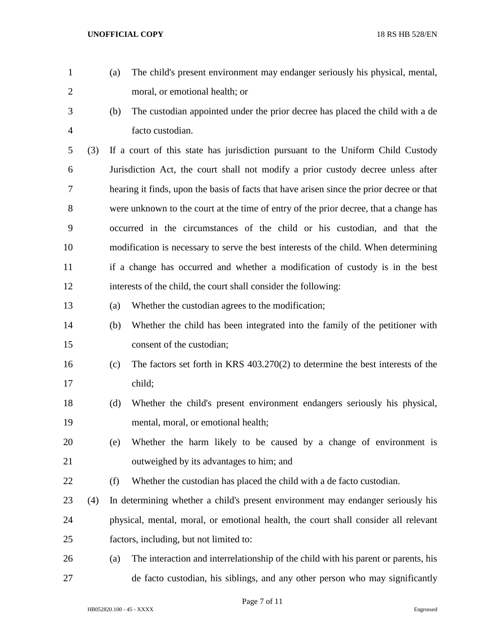- (a) The child's present environment may endanger seriously his physical, mental, moral, or emotional health; or
- 
- (b) The custodian appointed under the prior decree has placed the child with a de facto custodian.

 (3) If a court of this state has jurisdiction pursuant to the Uniform Child Custody Jurisdiction Act, the court shall not modify a prior custody decree unless after hearing it finds, upon the basis of facts that have arisen since the prior decree or that were unknown to the court at the time of entry of the prior decree, that a change has occurred in the circumstances of the child or his custodian, and that the modification is necessary to serve the best interests of the child. When determining if a change has occurred and whether a modification of custody is in the best interests of the child, the court shall consider the following:

- (a) Whether the custodian agrees to the modification;
- (b) Whether the child has been integrated into the family of the petitioner with consent of the custodian;
- (c) The factors set forth in KRS 403.270(2) to determine the best interests of the child;
- (d) Whether the child's present environment endangers seriously his physical, mental, moral, or emotional health;
- (e) Whether the harm likely to be caused by a change of environment is outweighed by its advantages to him; and
- (f) Whether the custodian has placed the child with a de facto custodian.
- (4) In determining whether a child's present environment may endanger seriously his physical, mental, moral, or emotional health, the court shall consider all relevant factors, including, but not limited to:
- (a) The interaction and interrelationship of the child with his parent or parents, his de facto custodian, his siblings, and any other person who may significantly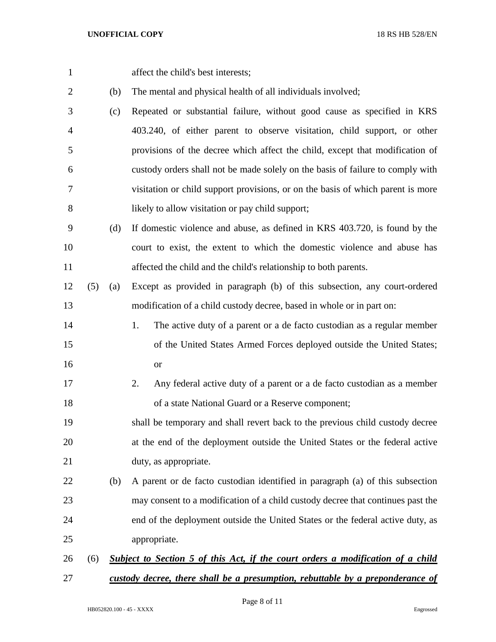affect the child's best interests;

(b) The mental and physical health of all individuals involved;

- (c) Repeated or substantial failure, without good cause as specified in KRS 403.240, of either parent to observe visitation, child support, or other provisions of the decree which affect the child, except that modification of custody orders shall not be made solely on the basis of failure to comply with visitation or child support provisions, or on the basis of which parent is more likely to allow visitation or pay child support;
- (d) If domestic violence and abuse, as defined in KRS 403.720, is found by the court to exist, the extent to which the domestic violence and abuse has affected the child and the child's relationship to both parents.
- (5) (a) Except as provided in paragraph (b) of this subsection, any court-ordered modification of a child custody decree, based in whole or in part on:
- 1. The active duty of a parent or a de facto custodian as a regular member of the United States Armed Forces deployed outside the United States; or
- 2. Any federal active duty of a parent or a de facto custodian as a member of a state National Guard or a Reserve component;
- shall be temporary and shall revert back to the previous child custody decree at the end of the deployment outside the United States or the federal active 21 duty, as appropriate.
- (b) A parent or de facto custodian identified in paragraph (a) of this subsection may consent to a modification of a child custody decree that continues past the end of the deployment outside the United States or the federal active duty, as appropriate.

# (6) *Subject to Section 5 of this Act, if the court orders a modification of a child custody decree, there shall be a presumption, rebuttable by a preponderance of*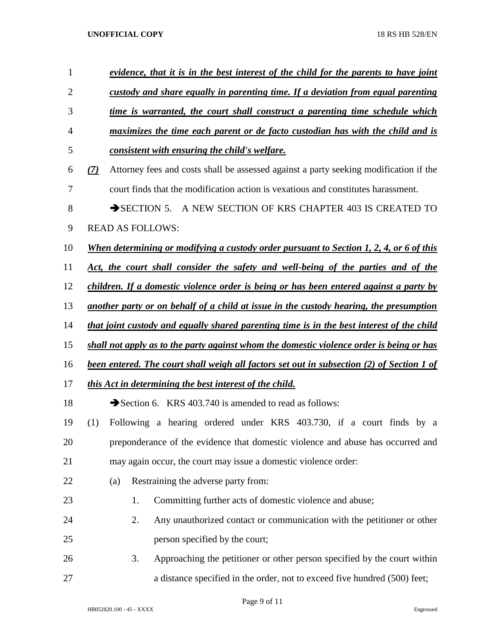| 1              |     |     |    | evidence, that it is in the best interest of the child for the parents to have joint             |
|----------------|-----|-----|----|--------------------------------------------------------------------------------------------------|
| $\overline{2}$ |     |     |    | custody and share equally in parenting time. If a deviation from equal parenting                 |
| 3              |     |     |    | time is warranted, the court shall construct a parenting time schedule which                     |
| $\overline{4}$ |     |     |    | maximizes the time each parent or de facto custodian has with the child and is                   |
| 5              |     |     |    | consistent with ensuring the child's welfare.                                                    |
| 6              | (7) |     |    | Attorney fees and costs shall be assessed against a party seeking modification if the            |
| $\tau$         |     |     |    | court finds that the modification action is vexatious and constitutes harassment.                |
| $8\phantom{1}$ |     |     |    | $\rightarrow$ SECTION 5.<br>A NEW SECTION OF KRS CHAPTER 403 IS CREATED TO                       |
| 9              |     |     |    | <b>READ AS FOLLOWS:</b>                                                                          |
| 10             |     |     |    | <u>When determining or modifying a custody order pursuant to Section 1, 2, 4, or 6 of this</u>   |
| 11             |     |     |    | Act, the court shall consider the safety and well-being of the parties and of the                |
| 12             |     |     |    | children. If a domestic violence order is being or has been entered against a party by           |
| 13             |     |     |    | another party or on behalf of a child at issue in the custody hearing, the presumption           |
| 14             |     |     |    | that joint custody and equally shared parenting time is in the best interest of the child        |
| 15             |     |     |    | shall not apply as to the party against whom the domestic violence order is being or has         |
| 16             |     |     |    | <u>been entered. The court shall weigh all factors set out in subsection (2) of Section 1 of</u> |
| 17             |     |     |    | this Act in determining the best interest of the child.                                          |
| 18             |     |     |    | Section 6. KRS 403.740 is amended to read as follows:                                            |
| 19             | (1) |     |    | Following a hearing ordered under KRS 403.730, if a court finds by a                             |
| 20             |     |     |    | preponderance of the evidence that domestic violence and abuse has occurred and                  |
| 21             |     |     |    | may again occur, the court may issue a domestic violence order:                                  |
| 22             |     | (a) |    | Restraining the adverse party from:                                                              |
| 23             |     |     | 1. | Committing further acts of domestic violence and abuse;                                          |
| 24             |     |     | 2. | Any unauthorized contact or communication with the petitioner or other                           |
| 25             |     |     |    | person specified by the court;                                                                   |
| 26             |     |     | 3. | Approaching the petitioner or other person specified by the court within                         |
| 27             |     |     |    | a distance specified in the order, not to exceed five hundred (500) feet;                        |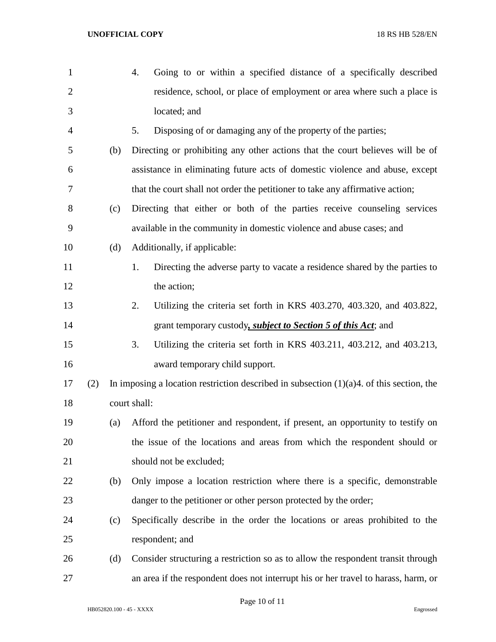| $\mathbf{1}$   |     |     | Going to or within a specified distance of a specifically described<br>4.                   |
|----------------|-----|-----|---------------------------------------------------------------------------------------------|
| $\overline{2}$ |     |     | residence, school, or place of employment or area where such a place is                     |
| 3              |     |     | located; and                                                                                |
| 4              |     |     | Disposing of or damaging any of the property of the parties;<br>5.                          |
| 5              |     | (b) | Directing or prohibiting any other actions that the court believes will be of               |
| 6              |     |     | assistance in eliminating future acts of domestic violence and abuse, except                |
| 7              |     |     | that the court shall not order the petitioner to take any affirmative action;               |
| 8              |     | (c) | Directing that either or both of the parties receive counseling services                    |
| 9              |     |     | available in the community in domestic violence and abuse cases; and                        |
| 10             |     | (d) | Additionally, if applicable:                                                                |
| 11             |     |     | Directing the adverse party to vacate a residence shared by the parties to<br>1.            |
| 12             |     |     | the action;                                                                                 |
| 13             |     |     | Utilizing the criteria set forth in KRS 403.270, 403.320, and 403.822,<br>2.                |
| 14             |     |     | grant temporary custody, <i>subject to Section 5 of this Act</i> ; and                      |
| 15             |     |     | Utilizing the criteria set forth in KRS 403.211, 403.212, and 403.213,<br>3.                |
| 16             |     |     | award temporary child support.                                                              |
| 17             | (2) |     | In imposing a location restriction described in subsection $(1)(a)4$ . of this section, the |
| 18             |     |     | court shall:                                                                                |
| 19             |     | (a) | Afford the petitioner and respondent, if present, an opportunity to testify on              |
| 20             |     |     | the issue of the locations and areas from which the respondent should or                    |
| 21             |     |     | should not be excluded;                                                                     |
| 22             |     | (b) | Only impose a location restriction where there is a specific, demonstrable                  |
| 23             |     |     | danger to the petitioner or other person protected by the order;                            |
| 24             |     | (c) | Specifically describe in the order the locations or areas prohibited to the                 |
| 25             |     |     | respondent; and                                                                             |
| 26             |     | (d) | Consider structuring a restriction so as to allow the respondent transit through            |
| 27             |     |     | an area if the respondent does not interrupt his or her travel to harass, harm, or          |

Page 10 of 11